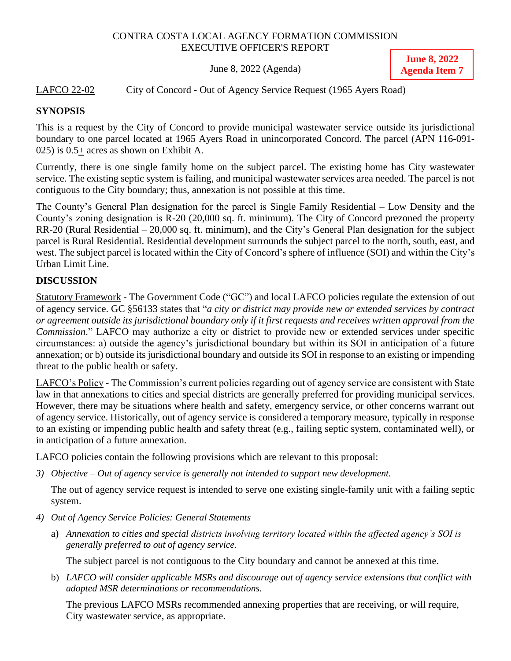### CONTRA COSTA LOCAL AGENCY FORMATION COMMISSION EXECUTIVE OFFICER'S REPORT

June 8, 2022 (Agenda)

**June 8, 2022 Agenda Item 7**

### LAFCO 22-02 City of Concord - Out of Agency Service Request (1965 Ayers Road)

### **SYNOPSIS**

This is a request by the City of Concord to provide municipal wastewater service outside its jurisdictional boundary to one parcel located at 1965 Ayers Road in unincorporated Concord. The parcel (APN 116-091- 025) is 0.5+ acres as shown on Exhibit A.

Currently, there is one single family home on the subject parcel. The existing home has City wastewater service. The existing septic system is failing, and municipal wastewater services area needed. The parcel is not contiguous to the City boundary; thus, annexation is not possible at this time.

The County's General Plan designation for the parcel is Single Family Residential – Low Density and the County's zoning designation is R-20 (20,000 sq. ft. minimum). The City of Concord prezoned the property RR-20 (Rural Residential – 20,000 sq. ft. minimum), and the City's General Plan designation for the subject parcel is Rural Residential. Residential development surrounds the subject parcel to the north, south, east, and west. The subject parcel is located within the City of Concord's sphere of influence (SOI) and within the City's Urban Limit Line.

# **DISCUSSION**

Statutory Framework - The Government Code ("GC") and local LAFCO policies regulate the extension of out of agency service. GC §56133 states that "*a city or district may provide new or extended services by contract or agreement outside its jurisdictional boundary only if it first requests and receives written approval from the Commission*." LAFCO may authorize a city or district to provide new or extended services under specific circumstances: a) outside the agency's jurisdictional boundary but within its SOI in anticipation of a future annexation; or b) outside its jurisdictional boundary and outside its SOI in response to an existing or impending threat to the public health or safety.

LAFCO's Policy - The Commission's current policies regarding out of agency service are consistent with State law in that annexations to cities and special districts are generally preferred for providing municipal services. However, there may be situations where health and safety, emergency service, or other concerns warrant out of agency service. Historically, out of agency service is considered a temporary measure, typically in response to an existing or impending public health and safety threat (e.g., failing septic system, contaminated well), or in anticipation of a future annexation.

LAFCO policies contain the following provisions which are relevant to this proposal:

*3) Objective – Out of agency service is generally not intended to support new development.*

The out of agency service request is intended to serve one existing single-family unit with a failing septic system.

- *4) Out of Agency Service Policies: General Statements*
	- a) *Annexation to cities and special districts involving territory located within the affected agency's SOI is generally preferred to out of agency service.*

The subject parcel is not contiguous to the City boundary and cannot be annexed at this time.

b) *LAFCO will consider applicable MSRs and discourage out of agency service extensions that conflict with adopted MSR determinations or recommendations.*

The previous LAFCO MSRs recommended annexing properties that are receiving, or will require, City wastewater service, as appropriate.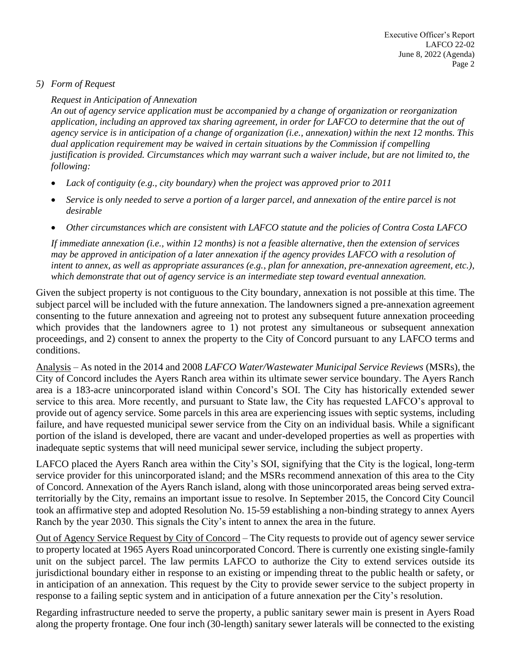### *5) Form of Request*

#### *Request in Anticipation of Annexation*

*An out of agency service application must be accompanied by a change of organization or reorganization application, including an approved tax sharing agreement, in order for LAFCO to determine that the out of agency service is in anticipation of a change of organization (i.e., annexation) within the next 12 months. This dual application requirement may be waived in certain situations by the Commission if compelling justification is provided. Circumstances which may warrant such a waiver include, but are not limited to, the following:*

- *Lack of contiguity (e.g., city boundary) when the project was approved prior to 2011*
- *Service is only needed to serve a portion of a larger parcel, and annexation of the entire parcel is not desirable*
- *Other circumstances which are consistent with LAFCO statute and the policies of Contra Costa LAFCO*

*If immediate annexation (i.e., within 12 months) is not a feasible alternative, then the extension of services may be approved in anticipation of a later annexation if the agency provides LAFCO with a resolution of intent to annex, as well as appropriate assurances (e.g., plan for annexation, pre-annexation agreement, etc.), which demonstrate that out of agency service is an intermediate step toward eventual annexation.*

Given the subject property is not contiguous to the City boundary, annexation is not possible at this time. The subject parcel will be included with the future annexation. The landowners signed a pre-annexation agreement consenting to the future annexation and agreeing not to protest any subsequent future annexation proceeding which provides that the landowners agree to 1) not protest any simultaneous or subsequent annexation proceedings, and 2) consent to annex the property to the City of Concord pursuant to any LAFCO terms and conditions.

Analysis – As noted in the 2014 and 2008 *LAFCO Water/Wastewater Municipal Service Reviews* (MSRs), the City of Concord includes the Ayers Ranch area within its ultimate sewer service boundary. The Ayers Ranch area is a 183-acre unincorporated island within Concord's SOI. The City has historically extended sewer service to this area. More recently, and pursuant to State law, the City has requested LAFCO's approval to provide out of agency service. Some parcels in this area are experiencing issues with septic systems, including failure, and have requested municipal sewer service from the City on an individual basis. While a significant portion of the island is developed, there are vacant and under-developed properties as well as properties with inadequate septic systems that will need municipal sewer service, including the subject property.

LAFCO placed the Ayers Ranch area within the City's SOI, signifying that the City is the logical, long-term service provider for this unincorporated island; and the MSRs recommend annexation of this area to the City of Concord. Annexation of the Ayers Ranch island, along with those unincorporated areas being served extraterritorially by the City, remains an important issue to resolve. In September 2015, the Concord City Council took an affirmative step and adopted Resolution No. 15-59 establishing a non-binding strategy to annex Ayers Ranch by the year 2030. This signals the City's intent to annex the area in the future.

Out of Agency Service Request by City of Concord – The City requests to provide out of agency sewer service to property located at 1965 Ayers Road unincorporated Concord. There is currently one existing single-family unit on the subject parcel. The law permits LAFCO to authorize the City to extend services outside its jurisdictional boundary either in response to an existing or impending threat to the public health or safety, or in anticipation of an annexation. This request by the City to provide sewer service to the subject property in response to a failing septic system and in anticipation of a future annexation per the City's resolution.

Regarding infrastructure needed to serve the property, a public sanitary sewer main is present in Ayers Road along the property frontage. One four inch (30-length) sanitary sewer laterals will be connected to the existing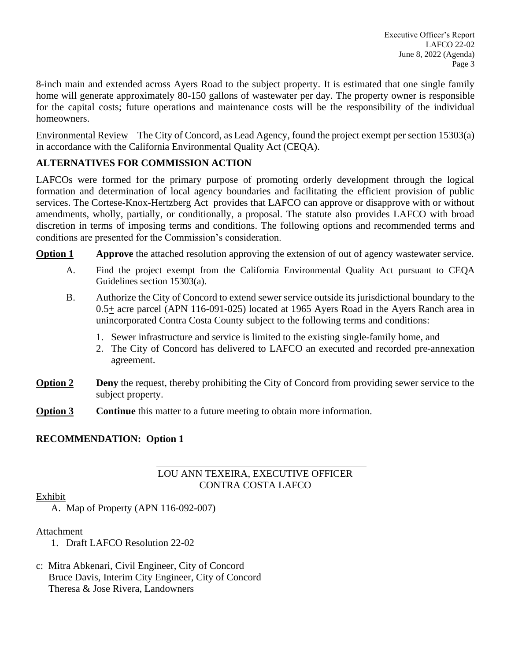8-inch main and extended across Ayers Road to the subject property. It is estimated that one single family home will generate approximately 80-150 gallons of wastewater per day. The property owner is responsible for the capital costs; future operations and maintenance costs will be the responsibility of the individual homeowners.

Environmental Review – The City of Concord, as Lead Agency, found the project exempt per section 15303(a) in accordance with the California Environmental Quality Act (CEQA).

# **ALTERNATIVES FOR COMMISSION ACTION**

LAFCOs were formed for the primary purpose of promoting orderly development through the logical formation and determination of local agency boundaries and facilitating the efficient provision of public services. The Cortese-Knox-Hertzberg Act provides that LAFCO can approve or disapprove with or without amendments, wholly, partially, or conditionally, a proposal. The statute also provides LAFCO with broad discretion in terms of imposing terms and conditions. The following options and recommended terms and conditions are presented for the Commission's consideration.

**Option 1 Approve** the attached resolution approving the extension of out of agency wastewater service.

- A. Find the project exempt from the California Environmental Quality Act pursuant to CEQA Guidelines section 15303(a).
- B. Authorize the City of Concord to extend sewer service outside its jurisdictional boundary to the 0.5+ acre parcel (APN 116-091-025) located at 1965 Ayers Road in the Ayers Ranch area in unincorporated Contra Costa County subject to the following terms and conditions:
	- 1. Sewer infrastructure and service is limited to the existing single-family home, and
	- 2. The City of Concord has delivered to LAFCO an executed and recorded pre-annexation agreement.
- **Option 2 Deny** the request, thereby prohibiting the City of Concord from providing sewer service to the subject property.
- **Option 3 Continue** this matter to a future meeting to obtain more information.

# **RECOMMENDATION: Option 1**

# LOU ANN TEXEIRA, EXECUTIVE OFFICER CONTRA COSTA LAFCO

### Exhibit

A. Map of Property (APN 116-092-007)

# Attachment

- 1. Draft LAFCO Resolution 22-02
- c: Mitra Abkenari, Civil Engineer, City of Concord Bruce Davis, Interim City Engineer, City of Concord Theresa & Jose Rivera, Landowners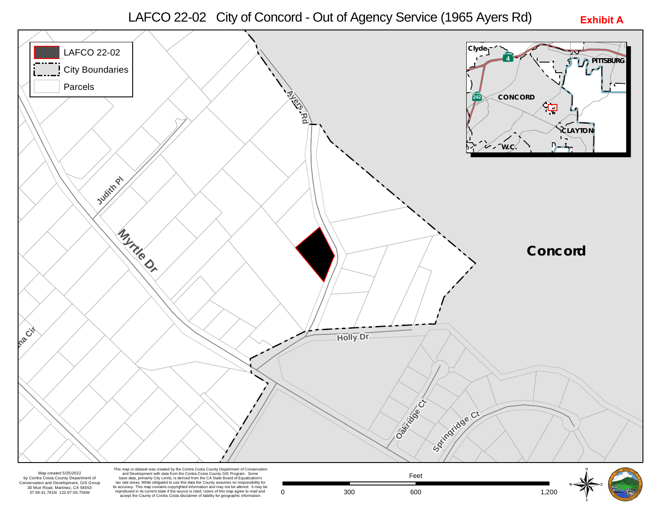LAFCO 22-02 City of Concord - Out of Agency Service (1965 Ayers Rd)

**Exhibit A**



by Contra Costa County Department of Conservation and Development, GIS Group 30 Muir Road, Martinez, CA 94553 37:59:41.791N 122:07:03.756W

Map created 5/25/2022<br>and Development with data from the Contra Costa County Gis Program. Some<br>ra Costa County Department of the base data, primarily City Limits, is derived from the CA State Board of Equalization's<br>ion a its accuracy. This map contains copyrighted information and may not be altered. It may be reproduced in its current state if the source is cited. Users of this map agree to read and accept the County of Contra Costa disclaimer of liability for geographic information.

0 300 600 **600** 1,200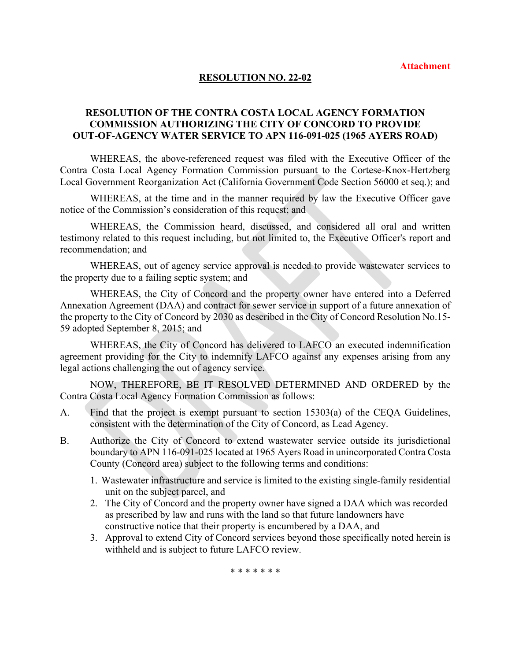#### **RESOLUTION NO. 22-02**

### **RESOLUTION OF THE CONTRA COSTA LOCAL AGENCY FORMATION COMMISSION AUTHORIZING THE CITY OF CONCORD TO PROVIDE OUT-OF-AGENCY WATER SERVICE TO APN 116-091-025 (1965 AYERS ROAD)**

WHEREAS, the above-referenced request was filed with the Executive Officer of the Contra Costa Local Agency Formation Commission pursuant to the Cortese-Knox-Hertzberg Local Government Reorganization Act (California Government Code Section 56000 et seq.); and

WHEREAS, at the time and in the manner required by law the Executive Officer gave notice of the Commission's consideration of this request; and

WHEREAS, the Commission heard, discussed, and considered all oral and written testimony related to this request including, but not limited to, the Executive Officer's report and recommendation; and

WHEREAS, out of agency service approval is needed to provide wastewater services to the property due to a failing septic system; and

WHEREAS, the City of Concord and the property owner have entered into a Deferred Annexation Agreement (DAA) and contract for sewer service in support of a future annexation of the property to the City of Concord by 2030 as described in the City of Concord Resolution No.15- 59 adopted September 8, 2015; and

WHEREAS, the City of Concord has delivered to LAFCO an executed indemnification agreement providing for the City to indemnify LAFCO against any expenses arising from any legal actions challenging the out of agency service.

NOW, THEREFORE, BE IT RESOLVED DETERMINED AND ORDERED by the Contra Costa Local Agency Formation Commission as follows:

- A. Find that the project is exempt pursuant to section 15303(a) of the CEQA Guidelines, consistent with the determination of the City of Concord, as Lead Agency.
- B. Authorize the City of Concord to extend wastewater service outside its jurisdictional boundary to APN 116-091-025 located at 1965 Ayers Road in unincorporated Contra Costa County (Concord area) subject to the following terms and conditions:
	- 1. Wastewater infrastructure and service is limited to the existing single-family residential unit on the subject parcel, and
	- 2. The City of Concord and the property owner have signed a DAA which was recorded as prescribed by law and runs with the land so that future landowners have constructive notice that their property is encumbered by a DAA, and
	- 3. Approval to extend City of Concord services beyond those specifically noted herein is withheld and is subject to future LAFCO review.

\* \* \* \* \* \* \*